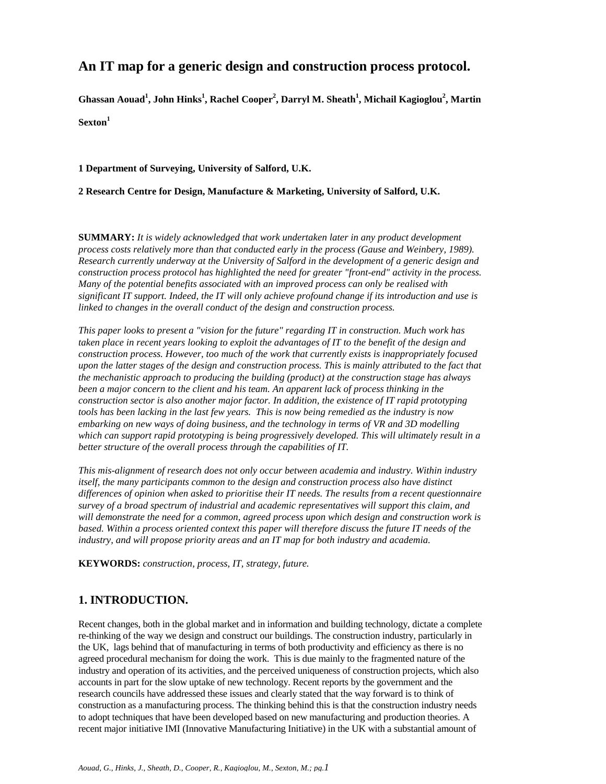# **An IT map for a generic design and construction process protocol.**

 $\boldsymbol{\mathrm{G}}$ hassan Aouad<sup>1</sup>, John Hinks<sup>1</sup>, Rachel Cooper<sup>2</sup>, Darryl M. Sheath<sup>1</sup>, Michail Kagioglou<sup>2</sup>, Martin

**Sexton<sup>1</sup>**

**1 Department of Surveying, University of Salford, U.K.**

**2 Research Centre for Design, Manufacture & Marketing, University of Salford, U.K.**

**SUMMARY:** *It is widely acknowledged that work undertaken later in any product development process costs relatively more than that conducted early in the process (Gause and Weinbery, 1989). Research currently underway at the University of Salford in the development of a generic design and construction process protocol has highlighted the need for greater "front-end" activity in the process. Many of the potential benefits associated with an improved process can only be realised with significant IT support. Indeed, the IT will only achieve profound change if its introduction and use is linked to changes in the overall conduct of the design and construction process.*

*This paper looks to present a "vision for the future" regarding IT in construction. Much work has taken place in recent years looking to exploit the advantages of IT to the benefit of the design and construction process. However, too much of the work that currently exists is inappropriately focused upon the latter stages of the design and construction process. This is mainly attributed to the fact that the mechanistic approach to producing the building (product) at the construction stage has always been a major concern to the client and his team. An apparent lack of process thinking in the construction sector is also another major factor. In addition, the existence of IT rapid prototyping tools has been lacking in the last few years. This is now being remedied as the industry is now embarking on new ways of doing business, and the technology in terms of VR and 3D modelling which can support rapid prototyping is being progressively developed. This will ultimately result in a better structure of the overall process through the capabilities of IT.*

*This mis-alignment of research does not only occur between academia and industry. Within industry itself, the many participants common to the design and construction process also have distinct differences of opinion when asked to prioritise their IT needs. The results from a recent questionnaire survey of a broad spectrum of industrial and academic representatives will support this claim, and will demonstrate the need for a common, agreed process upon which design and construction work is based. Within a process oriented context this paper will therefore discuss the future IT needs of the industry, and will propose priority areas and an IT map for both industry and academia.*

**KEYWORDS:** *construction, process, IT, strategy, future.*

# **1. INTRODUCTION.**

Recent changes, both in the global market and in information and building technology, dictate a complete re-thinking of the way we design and construct our buildings. The construction industry, particularly in the UK, lags behind that of manufacturing in terms of both productivity and efficiency as there is no agreed procedural mechanism for doing the work. This is due mainly to the fragmented nature of the industry and operation of its activities, and the perceived uniqueness of construction projects, which also accounts in part for the slow uptake of new technology. Recent reports by the government and the research councils have addressed these issues and clearly stated that the way forward is to think of construction as a manufacturing process. The thinking behind this is that the construction industry needs to adopt techniques that have been developed based on new manufacturing and production theories. A recent major initiative IMI (Innovative Manufacturing Initiative) in the UK with a substantial amount of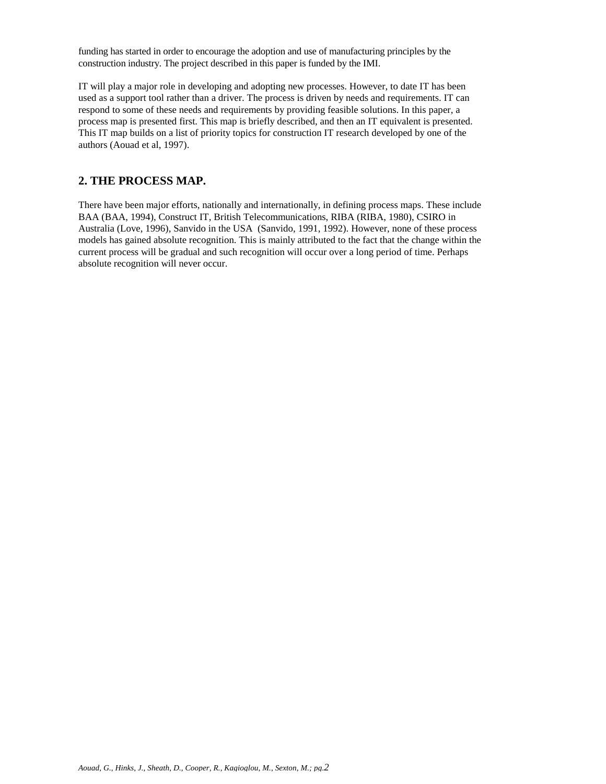funding has started in order to encourage the adoption and use of manufacturing principles by the construction industry. The project described in this paper is funded by the IMI.

IT will play a major role in developing and adopting new processes. However, to date IT has been used as a support tool rather than a driver. The process is driven by needs and requirements. IT can respond to some of these needs and requirements by providing feasible solutions. In this paper, a process map is presented first. This map is briefly described, and then an IT equivalent is presented. This IT map builds on a list of priority topics for construction IT research developed by one of the authors (Aouad et al, 1997).

## **2. THE PROCESS MAP.**

There have been major efforts, nationally and internationally, in defining process maps. These include BAA (BAA, 1994), Construct IT, British Telecommunications, RIBA (RIBA, 1980), CSIRO in Australia (Love, 1996), Sanvido in the USA (Sanvido, 1991, 1992). However, none of these process models has gained absolute recognition. This is mainly attributed to the fact that the change within the current process will be gradual and such recognition will occur over a long period of time. Perhaps absolute recognition will never occur.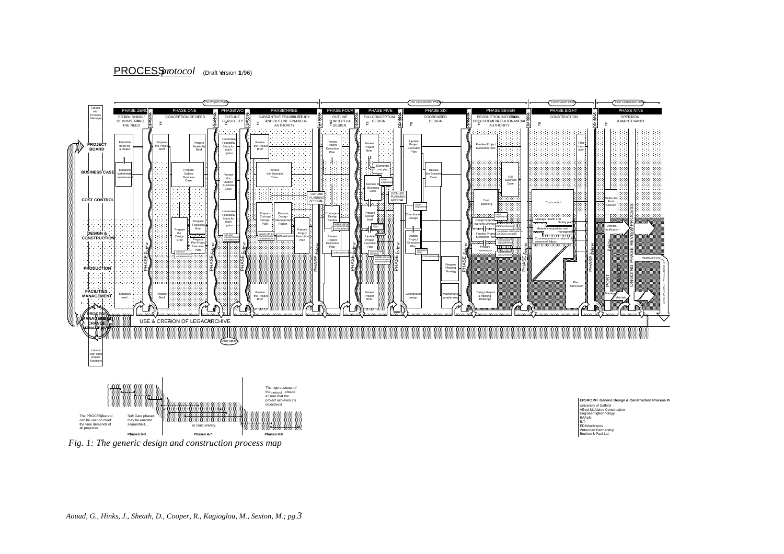### PROCESS *protocol*  (Draft Version 11/96)



 *Fig. 1: The generic design and construction process map*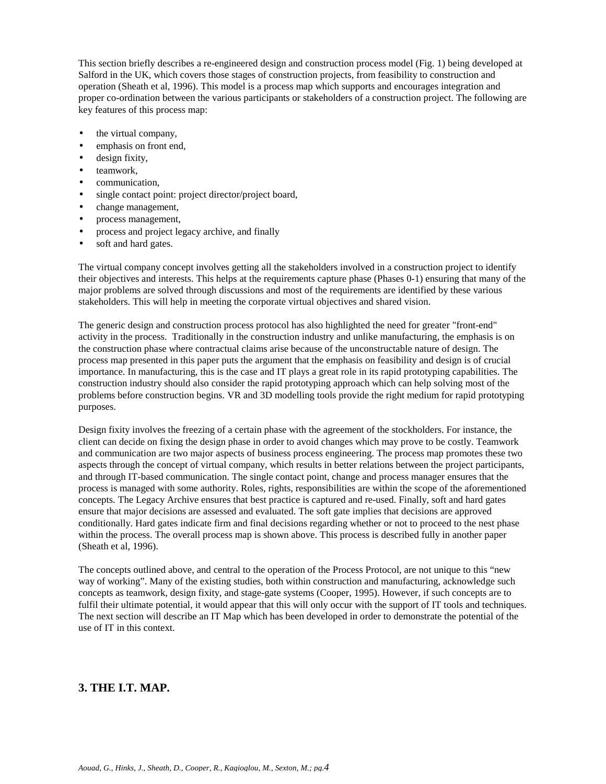This section briefly describes a re-engineered design and construction process model (Fig. 1) being developed at Salford in the UK, which covers those stages of construction projects, from feasibility to construction and operation (Sheath et al, 1996). This model is a process map which supports and encourages integration and proper co-ordination between the various participants or stakeholders of a construction project. The following are key features of this process map:

- the virtual company,
- emphasis on front end,
- design fixity,
- teamwork.
- communication,
- single contact point: project director/project board,
- change management,
- process management,
- process and project legacy archive, and finally
- soft and hard gates.

The virtual company concept involves getting all the stakeholders involved in a construction project to identify their objectives and interests. This helps at the requirements capture phase (Phases 0-1) ensuring that many of the major problems are solved through discussions and most of the requirements are identified by these various stakeholders. This will help in meeting the corporate virtual objectives and shared vision.

The generic design and construction process protocol has also highlighted the need for greater "front-end" activity in the process. Traditionally in the construction industry and unlike manufacturing, the emphasis is on the construction phase where contractual claims arise because of the unconstructable nature of design. The process map presented in this paper puts the argument that the emphasis on feasibility and design is of crucial importance. In manufacturing, this is the case and IT plays a great role in its rapid prototyping capabilities. The construction industry should also consider the rapid prototyping approach which can help solving most of the problems before construction begins. VR and 3D modelling tools provide the right medium for rapid prototyping purposes.

Design fixity involves the freezing of a certain phase with the agreement of the stockholders. For instance, the client can decide on fixing the design phase in order to avoid changes which may prove to be costly. Teamwork and communication are two major aspects of business process engineering. The process map promotes these two aspects through the concept of virtual company, which results in better relations between the project participants, and through IT-based communication. The single contact point, change and process manager ensures that the process is managed with some authority. Roles, rights, responsibilities are within the scope of the aforementioned concepts. The Legacy Archive ensures that best practice is captured and re-used. Finally, soft and hard gates ensure that major decisions are assessed and evaluated. The soft gate implies that decisions are approved conditionally. Hard gates indicate firm and final decisions regarding whether or not to proceed to the nest phase within the process. The overall process map is shown above. This process is described fully in another paper (Sheath et al, 1996).

The concepts outlined above, and central to the operation of the Process Protocol, are not unique to this "new way of working". Many of the existing studies, both within construction and manufacturing, acknowledge such concepts as teamwork, design fixity, and stage-gate systems (Cooper, 1995). However, if such concepts are to fulfil their ultimate potential, it would appear that this will only occur with the support of IT tools and techniques. The next section will describe an IT Map which has been developed in order to demonstrate the potential of the use of IT in this context.

## **3. THE I.T. MAP.**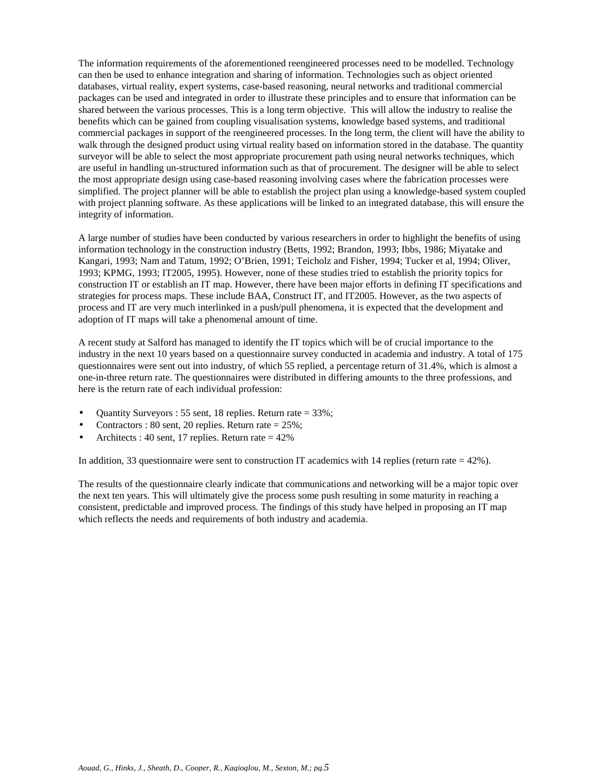The information requirements of the aforementioned reengineered processes need to be modelled. Technology can then be used to enhance integration and sharing of information. Technologies such as object oriented databases, virtual reality, expert systems, case-based reasoning, neural networks and traditional commercial packages can be used and integrated in order to illustrate these principles and to ensure that information can be shared between the various processes. This is a long term objective. This will allow the industry to realise the benefits which can be gained from coupling visualisation systems, knowledge based systems, and traditional commercial packages in support of the reengineered processes. In the long term, the client will have the ability to walk through the designed product using virtual reality based on information stored in the database. The quantity surveyor will be able to select the most appropriate procurement path using neural networks techniques, which are useful in handling un-structured information such as that of procurement. The designer will be able to select the most appropriate design using case-based reasoning involving cases where the fabrication processes were simplified. The project planner will be able to establish the project plan using a knowledge-based system coupled with project planning software. As these applications will be linked to an integrated database, this will ensure the integrity of information.

A large number of studies have been conducted by various researchers in order to highlight the benefits of using information technology in the construction industry (Betts, 1992; Brandon, 1993; Ibbs, 1986; Miyatake and Kangari, 1993; Nam and Tatum, 1992; O'Brien, 1991; Teicholz and Fisher, 1994; Tucker et al, 1994; Oliver, 1993; KPMG, 1993; IT2005, 1995). However, none of these studies tried to establish the priority topics for construction IT or establish an IT map. However, there have been major efforts in defining IT specifications and strategies for process maps. These include BAA, Construct IT, and IT2005. However, as the two aspects of process and IT are very much interlinked in a push/pull phenomena, it is expected that the development and adoption of IT maps will take a phenomenal amount of time.

A recent study at Salford has managed to identify the IT topics which will be of crucial importance to the industry in the next 10 years based on a questionnaire survey conducted in academia and industry. A total of 175 questionnaires were sent out into industry, of which 55 replied, a percentage return of 31.4%, which is almost a one-in-three return rate. The questionnaires were distributed in differing amounts to the three professions, and here is the return rate of each individual profession:

- Quantity Surveyors : 55 sent, 18 replies. Return rate = 33%;
- Contractors :  $80$  sent,  $20$  replies. Return rate =  $25\%$ ;
- Architects : 40 sent, 17 replies. Return rate  $= 42\%$

In addition, 33 questionnaire were sent to construction IT academics with 14 replies (return rate  $= 42\%$ ).

The results of the questionnaire clearly indicate that communications and networking will be a major topic over the next ten years. This will ultimately give the process some push resulting in some maturity in reaching a consistent, predictable and improved process. The findings of this study have helped in proposing an IT map which reflects the needs and requirements of both industry and academia.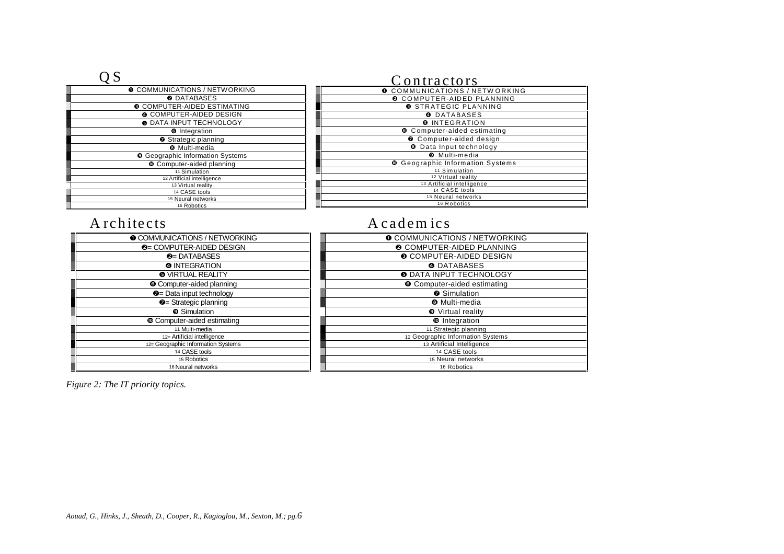| <b>O</b> COMMUNICATIONS / NETWORKING    | O <sub>C</sub> |
|-----------------------------------------|----------------|
| <b>@DATABASES</b>                       | €              |
| <b>© COMPUTER-AIDED ESTIMATING</b>      |                |
| <b>O COMPUTER-AIDED DESIGN</b>          |                |
| <b>O DATA INPUT TECHNOLOGY</b>          |                |
| <b>O</b> Integration                    |                |
| <b>O</b> Strategic planning             |                |
| <b>8</b> Multi-media                    |                |
| <b>O</b> Geographic Information Systems |                |
| <b>Computer-aided planning</b>          | ⊕              |
| 11 Simulation                           |                |
| 12 Artificial intelligence              |                |
| 13 Virtual reality                      |                |
| 14 CASE tools                           |                |
| 15 Neural networks                      |                |
| 16 Robotics                             |                |

# Contractors

| <b>O COMMUNICATIONS / NETWORKING</b>    |
|-----------------------------------------|
| <b>@ COMPUTER-AIDED PLANNING</b>        |
| <b>O STRATEGIC PLANNING</b>             |
| O DATABASES                             |
| <b>O</b> INTEGRATION                    |
| <b>O</b> Computer-aided estimating      |
| O Computer-aided design                 |
| <b>O</b> Data Input technology          |
| <b>O</b> Multi-media                    |
| <b>© Geographic Information Systems</b> |
| 11 Simulation                           |
| 12 Virtual reality                      |
| 13 Artificial intelligence              |
| 14 CASE tools                           |
| 15 Neural networks                      |
| 16 Robotics                             |
|                                         |

| <b>O COMMUNICATIONS / NETWORKING</b> |
|--------------------------------------|
| <b>@</b> = COMPUTER-AIDED DESIGN     |
| $\odot$ DATABASES                    |
| <b>O INTEGRATION</b>                 |
| <b>O</b> VIRTUAL REALITY             |
| <b>O</b> Computer-aided planning     |
| <b>2</b> = Data input technology     |
| $\odot$ = Strategic planning         |
| <sup>O</sup> Simulation              |
| <b>Computer-aided estimating</b>     |
| 11 Multi-media                       |
| 12= Artificial intelligence          |
| 12= Geographic Information Systems   |
| 14 CASE tools                        |
| 15 Robotics                          |
| 16 Neural networks                   |

# A rchitects A cadem ics

| <b>O COMMUNICATIONS / NETWORKING</b> |
|--------------------------------------|
| <b>@ COMPUTER-AIDED PLANNING</b>     |
| <b>O COMPUTER-AIDED DESIGN</b>       |
| <b>O</b> DATABASES                   |
| <b>O DATA INPUT TECHNOLOGY</b>       |
| <b>O</b> Computer-aided estimating   |
| <b>8</b> Simulation                  |
| <b>8</b> Multi-media                 |
| <b>O</b> Virtual reality             |
| <b><sup>©</sup></b> Integration      |
| 11 Strategic planning                |
| 12 Geographic Information Systems    |
| 13 Artificial Intelligence           |
| 14 CASE tools                        |
| 15 Neural networks                   |
| 16 Robotics                          |

*Figure 2: The IT priority topics.*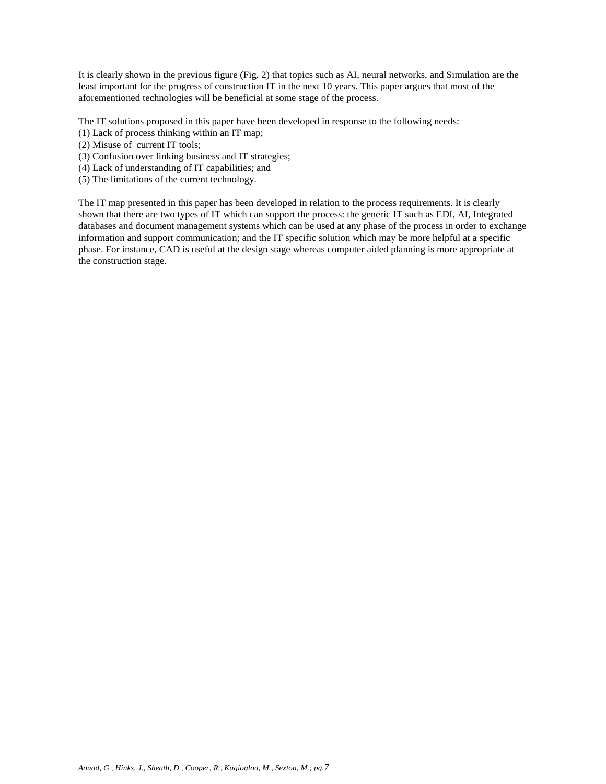It is clearly shown in the previous figure (Fig. 2) that topics such as AI, neural networks, and Simulation are the least important for the progress of construction IT in the next 10 years. This paper argues that most of the aforementioned technologies will be beneficial at some stage of the process.

The IT solutions proposed in this paper have been developed in response to the following needs:

- (1) Lack of process thinking within an IT map;
- (2) Misuse of current IT tools;
- (3) Confusion over linking business and IT strategies;
- (4) Lack of understanding of IT capabilities; and
- (5) The limitations of the current technology.

The IT map presented in this paper has been developed in relation to the process requirements. It is clearly shown that there are two types of IT which can support the process: the generic IT such as EDI, AI, Integrated databases and document management systems which can be used at any phase of the process in order to exchange information and support communication; and the IT specific solution which may be more helpful at a specific phase. For instance, CAD is useful at the design stage whereas computer aided planning is more appropriate at the construction stage.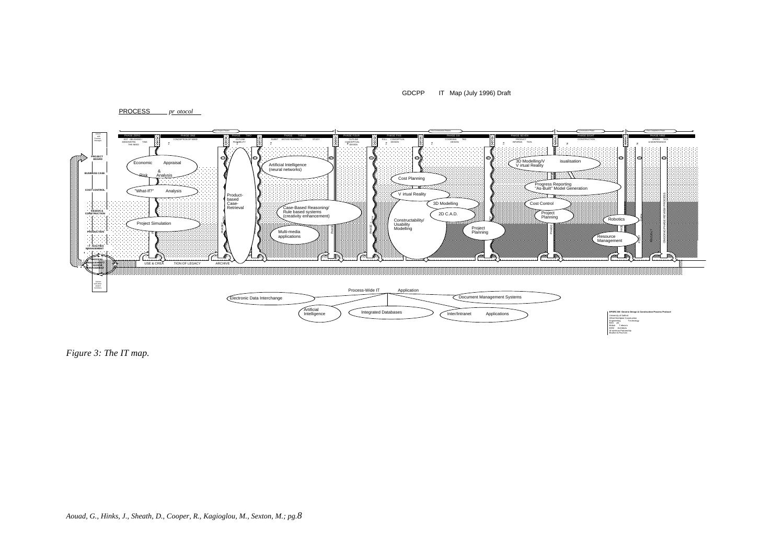GDCPP IT Map (July 1996) Draft

PROCESS *pr otocol* 



*Figure 3: The IT map.*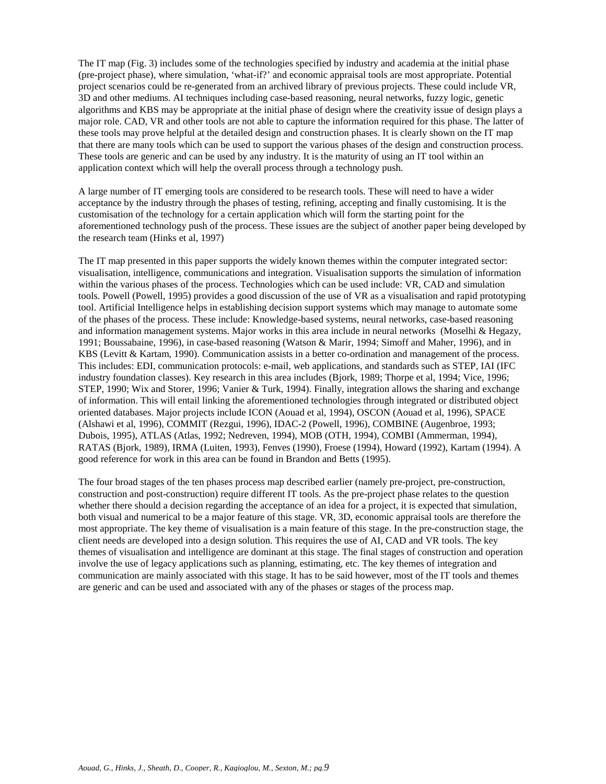The IT map (Fig. 3) includes some of the technologies specified by industry and academia at the initial phase (pre-project phase), where simulation, 'what-if?' and economic appraisal tools are most appropriate. Potential project scenarios could be re-generated from an archived library of previous projects. These could include VR, 3D and other mediums. AI techniques including case-based reasoning, neural networks, fuzzy logic, genetic algorithms and KBS may be appropriate at the initial phase of design where the creativity issue of design plays a major role. CAD, VR and other tools are not able to capture the information required for this phase. The latter of these tools may prove helpful at the detailed design and construction phases. It is clearly shown on the IT map that there are many tools which can be used to support the various phases of the design and construction process. These tools are generic and can be used by any industry. It is the maturity of using an IT tool within an application context which will help the overall process through a technology push.

A large number of IT emerging tools are considered to be research tools. These will need to have a wider acceptance by the industry through the phases of testing, refining, accepting and finally customising. It is the customisation of the technology for a certain application which will form the starting point for the aforementioned technology push of the process. These issues are the subject of another paper being developed by the research team (Hinks et al, 1997)

The IT map presented in this paper supports the widely known themes within the computer integrated sector: visualisation, intelligence, communications and integration. Visualisation supports the simulation of information within the various phases of the process. Technologies which can be used include: VR, CAD and simulation tools. Powell (Powell, 1995) provides a good discussion of the use of VR as a visualisation and rapid prototyping tool. Artificial Intelligence helps in establishing decision support systems which may manage to automate some of the phases of the process. These include: Knowledge-based systems, neural networks, case-based reasoning and information management systems. Major works in this area include in neural networks (Moselhi & Hegazy, 1991; Boussabaine, 1996), in case-based reasoning (Watson & Marir, 1994; Simoff and Maher, 1996), and in KBS (Levitt & Kartam, 1990). Communication assists in a better co-ordination and management of the process. This includes: EDI, communication protocols: e-mail, web applications, and standards such as STEP, IAI (IFC industry foundation classes). Key research in this area includes (Bjork, 1989; Thorpe et al, 1994; Vice, 1996; STEP, 1990; Wix and Storer, 1996; Vanier & Turk, 1994). Finally, integration allows the sharing and exchange of information. This will entail linking the aforementioned technologies through integrated or distributed object oriented databases. Major projects include ICON (Aouad et al, 1994), OSCON (Aouad et al, 1996), SPACE (Alshawi et al, 1996), COMMIT (Rezgui, 1996), IDAC-2 (Powell, 1996), COMBINE (Augenbroe, 1993; Dubois, 1995), ATLAS (Atlas, 1992; Nedreven, 1994), MOB (OTH, 1994), COMBI (Ammerman, 1994), RATAS (Bjork, 1989), IRMA (Luiten, 1993), Fenves (1990), Froese (1994), Howard (1992), Kartam (1994). A good reference for work in this area can be found in Brandon and Betts (1995).

The four broad stages of the ten phases process map described earlier (namely pre-project, pre-construction, construction and post-construction) require different IT tools. As the pre-project phase relates to the question whether there should a decision regarding the acceptance of an idea for a project, it is expected that simulation, both visual and numerical to be a major feature of this stage. VR, 3D, economic appraisal tools are therefore the most appropriate. The key theme of visualisation is a main feature of this stage. In the pre-construction stage, the client needs are developed into a design solution. This requires the use of AI, CAD and VR tools. The key themes of visualisation and intelligence are dominant at this stage. The final stages of construction and operation involve the use of legacy applications such as planning, estimating, etc. The key themes of integration and communication are mainly associated with this stage. It has to be said however, most of the IT tools and themes are generic and can be used and associated with any of the phases or stages of the process map.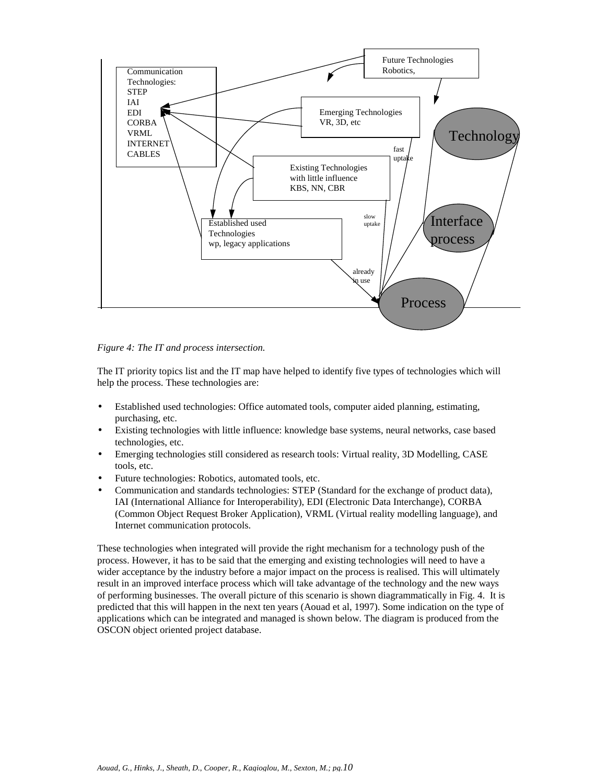

*Figure 4: The IT and process intersection.*

The IT priority topics list and the IT map have helped to identify five types of technologies which will help the process. These technologies are:

- Established used technologies: Office automated tools, computer aided planning, estimating, purchasing, etc.
- Existing technologies with little influence: knowledge base systems, neural networks, case based technologies, etc.
- Emerging technologies still considered as research tools: Virtual reality, 3D Modelling, CASE tools, etc.
- Future technologies: Robotics, automated tools, etc.
- Communication and standards technologies: STEP (Standard for the exchange of product data), IAI (International Alliance for Interoperability), EDI (Electronic Data Interchange), CORBA (Common Object Request Broker Application), VRML (Virtual reality modelling language), and Internet communication protocols.

These technologies when integrated will provide the right mechanism for a technology push of the process. However, it has to be said that the emerging and existing technologies will need to have a wider acceptance by the industry before a major impact on the process is realised. This will ultimately result in an improved interface process which will take advantage of the technology and the new ways of performing businesses. The overall picture of this scenario is shown diagrammatically in Fig. 4. It is predicted that this will happen in the next ten years (Aouad et al, 1997). Some indication on the type of applications which can be integrated and managed is shown below. The diagram is produced from the OSCON object oriented project database.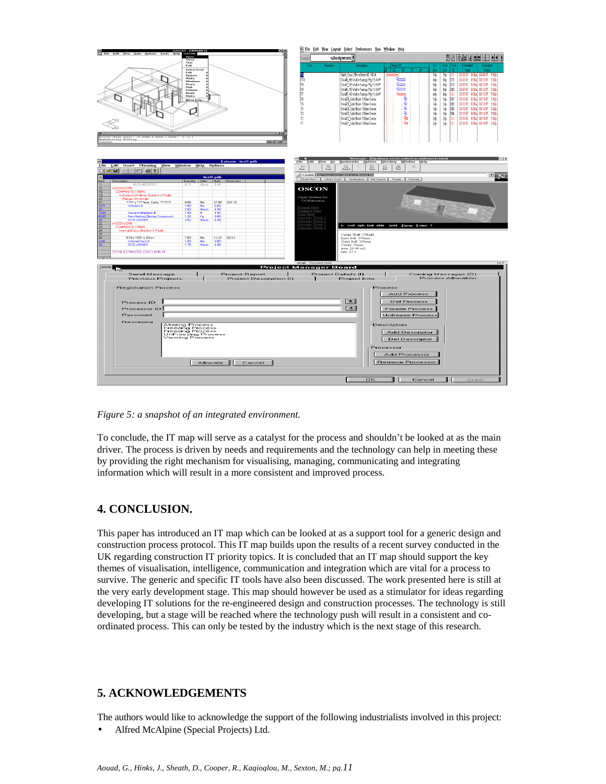

*Figure 5: a snapshot of an integrated environment.*

To conclude, the IT map will serve as a catalyst for the process and shouldn't be looked at as the main driver. The process is driven by needs and requirements and the technology can help in meeting these by providing the right mechanism for visualising, managing, communicating and integrating information which will result in a more consistent and improved process.

## **4. CONCLUSION.**

This paper has introduced an IT map which can be looked at as a support tool for a generic design and construction process protocol. This IT map builds upon the results of a recent survey conducted in the UK regarding construction IT priority topics. It is concluded that an IT map should support the key themes of visualisation, intelligence, communication and integration which are vital for a process to survive. The generic and specific IT tools have also been discussed. The work presented here is still at the very early development stage. This map should however be used as a stimulator for ideas regarding developing IT solutions for the re-engineered design and construction processes. The technology is still developing, but a stage will be reached where the technology push will result in a consistent and coordinated process. This can only be tested by the industry which is the next stage of this research.

### **5. ACKNOWLEDGEMENTS**

The authors would like to acknowledge the support of the following industrialists involved in this project:

• Alfred McAlpine (Special Projects) Ltd.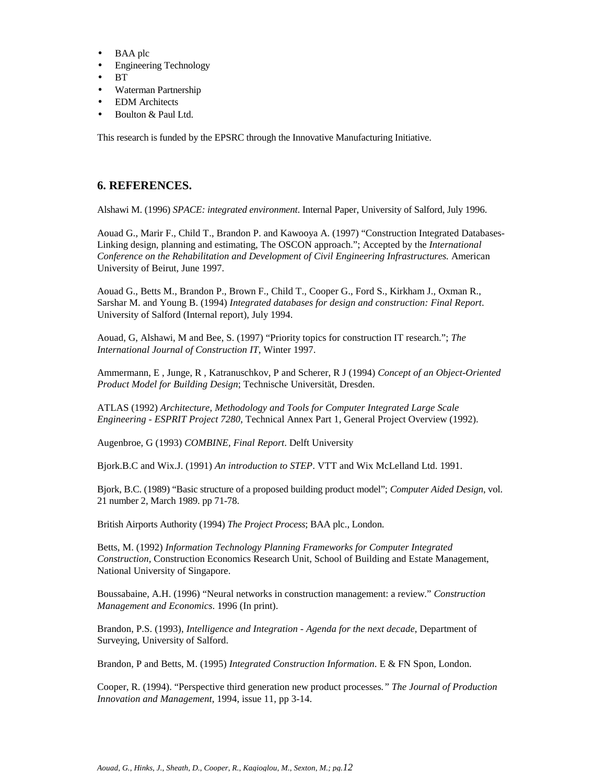- BAA plc
- Engineering Technology
- BT
- Waterman Partnership
- EDM Architects
- Boulton & Paul Ltd.

This research is funded by the EPSRC through the Innovative Manufacturing Initiative.

### **6. REFERENCES.**

Alshawi M. (1996) *SPACE: integrated environment*. Internal Paper, University of Salford, July 1996.

Aouad G., Marir F., Child T., Brandon P. and Kawooya A. (1997) "Construction Integrated Databases-Linking design, planning and estimating, The OSCON approach."; Accepted by the *International Conference on the Rehabilitation and Development of Civil Engineering Infrastructures.* American University of Beirut, June 1997.

Aouad G., Betts M., Brandon P., Brown F., Child T., Cooper G., Ford S., Kirkham J., Oxman R., Sarshar M. and Young B. (1994) *Integrated databases for design and construction: Final Report*. University of Salford (Internal report), July 1994.

Aouad, G, Alshawi, M and Bee, S. (1997) "Priority topics for construction IT research."; *The International Journal of Construction IT*, Winter 1997.

Ammermann, E , Junge, R , Katranuschkov, P and Scherer, R J (1994) *Concept of an Object-Oriented Product Model for Building Design*; Technische Universität, Dresden.

ATLAS (1992) *Architecture, Methodology and Tools for Computer Integrated Large Scale Engineering - ESPRIT Project 7280*, Technical Annex Part 1, General Project Overview (1992).

Augenbroe, G (1993) *COMBINE, Final Report*. Delft University

Bjork.B.C and Wix.J. (1991) *An introduction to STEP*. VTT and Wix McLelland Ltd. 1991.

Bjork, B.C. (1989) "Basic structure of a proposed building product model"; *Computer Aided Design*, vol. 21 number 2, March 1989. pp 71-78.

British Airports Authority (1994) *The Project Process*; BAA plc., London.

Betts, M. (1992) *Information Technology Planning Frameworks for Computer Integrated Construction*, Construction Economics Research Unit, School of Building and Estate Management, National University of Singapore.

Boussabaine, A.H. (1996) "Neural networks in construction management: a review." *Construction Management and Economics*. 1996 (In print).

Brandon, P.S. (1993), *Intelligence and Integration - Agenda for the next decade*, Department of Surveying, University of Salford.

Brandon, P and Betts, M. (1995) *Integrated Construction Information*. E & FN Spon*,* London.

Cooper, R. (1994). "Perspective third generation new product processes*." The Journal of Production Innovation and Management*, 1994, issue 11, pp 3-14.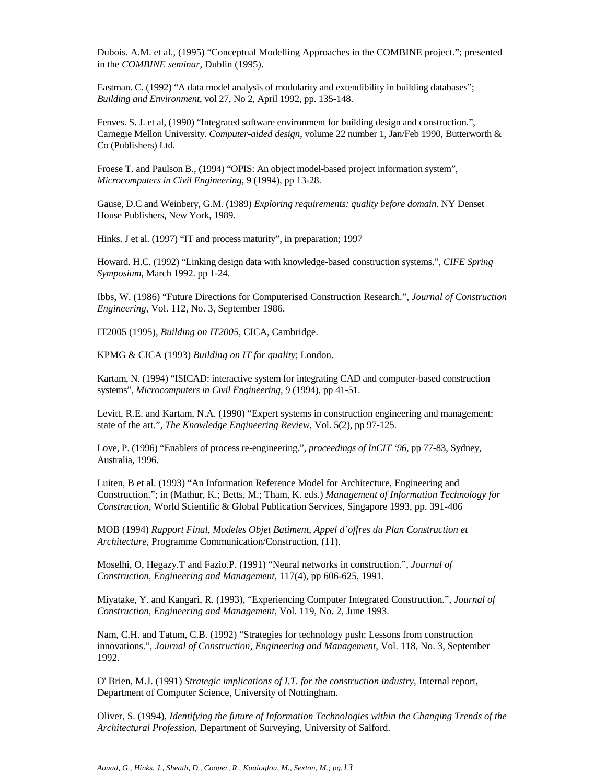Dubois. A.M. et al., (1995) "Conceptual Modelling Approaches in the COMBINE project."; presented in the *COMBINE seminar*, Dublin (1995).

Eastman. C. (1992) "A data model analysis of modularity and extendibility in building databases"; *Building and Environment*, vol 27, No 2, April 1992, pp. 135-148.

Fenves. S. J. et al, (1990) "Integrated software environment for building design and construction.", Carnegie Mellon University. *Computer-aided design*, volume 22 number 1, Jan/Feb 1990, Butterworth & Co (Publishers) Ltd.

Froese T. and Paulson B., (1994) "OPIS: An object model-based project information system", *Microcomputers in Civil Engineering*, 9 (1994), pp 13-28.

Gause, D.C and Weinbery, G.M. (1989) *Exploring requirements: quality before domain*. NY Denset House Publishers, New York, 1989.

Hinks. J et al. (1997) "IT and process maturity", in preparation; 1997

Howard. H.C. (1992) "Linking design data with knowledge-based construction systems.", *CIFE Spring Symposium*, March 1992. pp 1-24.

Ibbs, W. (1986) "Future Directions for Computerised Construction Research.", *Journal of Construction Engineering*, Vol. 112, No. 3, September 1986.

IT2005 (1995), *Building on IT2005*, CICA, Cambridge.

KPMG & CICA (1993) *Building on IT for quality*; London.

Kartam, N. (1994) "ISICAD: interactive system for integrating CAD and computer-based construction systems", *Microcomputers in Civil Engineering*, 9 (1994), pp 41-51.

Levitt, R.E. and Kartam, N.A. (1990) "Expert systems in construction engineering and management: state of the art.", *The Knowledge Engineering Review,* Vol. 5(2), pp 97-125.

Love, P. (1996) "Enablers of process re-engineering.", *proceedings of InCIT '96*, pp 77-83, Sydney, Australia, 1996.

Luiten, B et al. (1993) "An Information Reference Model for Architecture, Engineering and Construction."; in (Mathur, K.; Betts, M.; Tham, K. eds.) *Management of Information Technology for Construction*, World Scientific & Global Publication Services, Singapore 1993, pp. 391-406

MOB (1994) *Rapport Final, Modeles Objet Batiment, Appel d'offres du Plan Construction et Architecture*, Programme Communication/Construction, (11).

Moselhi, O, Hegazy.T and Fazio.P. (1991) "Neural networks in construction.", *Journal of Construction, Engineering and Management*, 117(4), pp 606-625, 1991.

Miyatake, Y. and Kangari, R. (1993), "Experiencing Computer Integrated Construction.", *Journal of Construction, Engineering and Management*, Vol. 119, No. 2, June 1993.

Nam, C.H. and Tatum, C.B. (1992) "Strategies for technology push: Lessons from construction innovations.", *Journal of Construction, Engineering and Management*, Vol. 118, No. 3, September 1992.

O' Brien, M.J. (1991) *Strategic implications of I.T. for the construction industry*, Internal report, Department of Computer Science, University of Nottingham.

Oliver, S. (1994), *Identifying the future of Information Technologies within the Changing Trends of the Architectural Profession*, Department of Surveying, University of Salford.